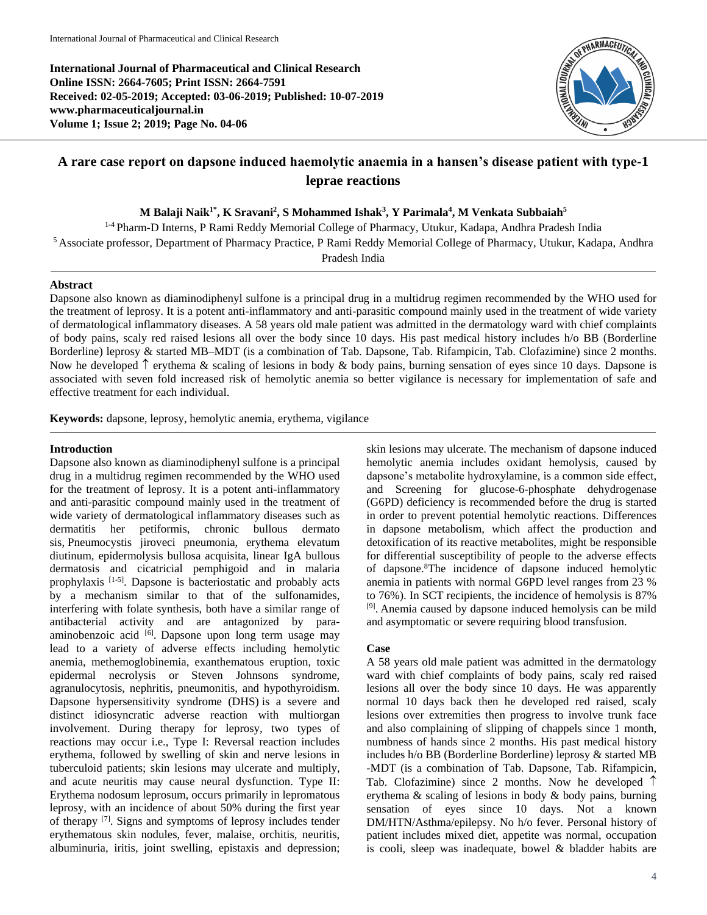**International Journal of Pharmaceutical and Clinical Research Online ISSN: 2664-7605; Print ISSN: 2664-7591 Received: 02-05-2019; Accepted: 03-06-2019; Published: 10-07-2019 www.pharmaceuticaljournal.in Volume 1; Issue 2; 2019; Page No. 04-06**



# **A rare case report on dapsone induced haemolytic anaemia in a hansen's disease patient with type-1 leprae reactions**

**M Balaji Naik1\* , K Sravani<sup>2</sup> , S Mohammed Ishak<sup>3</sup> , Y Parimala<sup>4</sup> , M Venkata Subbaiah<sup>5</sup>**

1-4 Pharm-D Interns, P Rami Reddy Memorial College of Pharmacy, Utukur, Kadapa, Andhra Pradesh India <sup>5</sup>Associate professor, Department of Pharmacy Practice, P Rami Reddy Memorial College of Pharmacy, Utukur, Kadapa, Andhra

Pradesh India

### **Abstract**

Dapsone also known as diaminodiphenyl sulfone is a principal drug in a multidrug regimen recommended by the WHO used for the treatment of leprosy. It is a potent anti-inflammatory and anti-parasitic compound mainly used in the treatment of wide variety of dermatological inflammatory diseases. A 58 years old male patient was admitted in the dermatology ward with chief complaints of body pains, scaly red raised lesions all over the body since 10 days. His past medical history includes h/o BB (Borderline Borderline) leprosy & started MB–MDT (is a combination of Tab. Dapsone, Tab. Rifampicin, Tab. Clofazimine) since 2 months. Now he developed  $\uparrow$  erythema & scaling of lesions in body & body pains, burning sensation of eyes since 10 days. Dapsone is associated with seven fold increased risk of hemolytic anemia so better vigilance is necessary for implementation of safe and effective treatment for each individual.

**Keywords:** dapsone, leprosy, hemolytic anemia, erythema, vigilance

#### **Introduction**

Dapsone also known as diaminodiphenyl sulfone is a principal drug in a multidrug regimen recommended by the WHO used for the treatment of leprosy. It is a potent anti-inflammatory and anti-parasitic compound mainly used in the treatment of wide variety of dermatological inflammatory diseases such as dermatitis her petiformis, chronic bullous dermato sis, Pneumocystis jiroveci pneumonia, erythema elevatum diutinum, epidermolysis bullosa acquisita, linear IgA bullous dermatosis and cicatricial pemphigoid and in malaria prophylaxis<sup>[1-5]</sup>. Dapsone is bacteriostatic and probably acts by a mechanism similar to that of the sulfonamides, interfering with folate synthesis, both have a similar range of antibacterial activity and are antagonized by paraaminobenzoic acid <a>[6]</a>. Dapsone upon long term usage may lead to a variety of adverse effects including hemolytic anemia, methemoglobinemia, exanthematous eruption, toxic epidermal necrolysis or Steven Johnsons syndrome, agranulocytosis, nephritis, pneumonitis, and hypothyroidism. Dapsone hypersensitivity syndrome (DHS) is a severe and distinct idiosyncratic adverse reaction with multiorgan involvement. During therapy for leprosy, two types of reactions may occur i.e., Type I: Reversal reaction includes erythema, followed by swelling of skin and nerve lesions in tuberculoid patients; skin lesions may ulcerate and multiply, and acute neuritis may cause neural dysfunction. Type II: Erythema nodosum leprosum, occurs primarily in lepromatous leprosy, with an incidence of about 50% during the first year of therapy [7]. Signs and symptoms of leprosy includes tender erythematous skin nodules, fever, malaise, orchitis, neuritis, albuminuria, iritis, joint swelling, epistaxis and depression;

skin lesions may ulcerate. The mechanism of dapsone induced hemolytic anemia includes oxidant hemolysis, caused by dapsone's metabolite hydroxylamine, is a common side effect, and Screening for glucose-6-phosphate dehydrogenase (G6PD) deficiency is recommended before the drug is started in order to prevent potential hemolytic reactions. Differences in dapsone metabolism, which affect the production and detoxification of its reactive metabolites, might be responsible for differential susceptibility of people to the adverse effects of dapsone.<sup>8</sup>The incidence of dapsone induced hemolytic anemia in patients with normal G6PD level ranges from 23 % to 76%). In SCT recipients, the incidence of hemolysis is 87% <sup>[9]</sup>. Anemia caused by dapsone induced hemolysis can be mild and asymptomatic or severe requiring blood transfusion.

## **Case**

A 58 years old male patient was admitted in the dermatology ward with chief complaints of body pains, scaly red raised lesions all over the body since 10 days. He was apparently normal 10 days back then he developed red raised, scaly lesions over extremities then progress to involve trunk face and also complaining of slipping of chappels since 1 month, numbness of hands since 2 months. His past medical history includes h/o BB (Borderline Borderline) leprosy & started MB -MDT (is a combination of Tab. Dapsone, Tab. Rifampicin, Tab. Clofazimine) since 2 months. Now he developed  $\uparrow$ erythema & scaling of lesions in body & body pains, burning sensation of eyes since 10 days. Not a known DM/HTN/Asthma/epilepsy. No h/o fever. Personal history of patient includes mixed diet, appetite was normal, occupation is cooli, sleep was inadequate, bowel & bladder habits are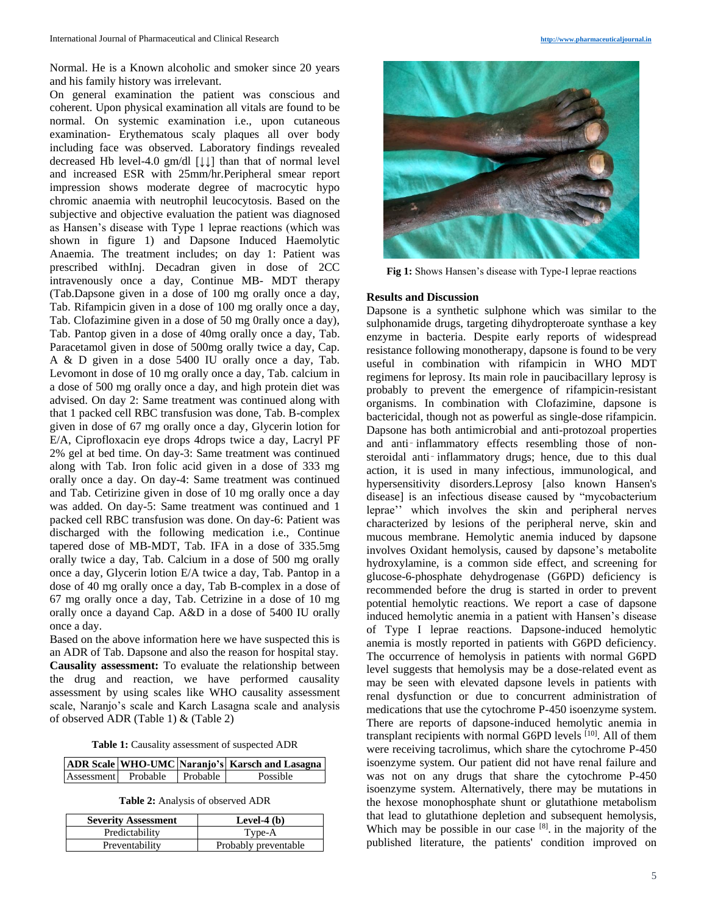Normal. He is a Known alcoholic and smoker since 20 years and his family history was irrelevant.

On general examination the patient was conscious and coherent. Upon physical examination all vitals are found to be normal. On systemic examination i.e., upon cutaneous examination- Erythematous scaly plaques all over body including face was observed. Laboratory findings revealed decreased Hb level-4.0 gm/dl [↓↓] than that of normal level and increased ESR with 25mm/hr.Peripheral smear report impression shows moderate degree of macrocytic hypo chromic anaemia with neutrophil leucocytosis. Based on the subjective and objective evaluation the patient was diagnosed as Hansen's disease with Type 1 leprae reactions (which was shown in figure 1) and Dapsone Induced Haemolytic Anaemia. The treatment includes; on day 1: Patient was prescribed withInj. Decadran given in dose of 2CC intravenously once a day, Continue MB- MDT therapy (Tab.Dapsone given in a dose of 100 mg orally once a day, Tab. Rifampicin given in a dose of 100 mg orally once a day, Tab. Clofazimine given in a dose of 50 mg 0rally once a day), Tab. Pantop given in a dose of 40mg orally once a day, Tab. Paracetamol given in dose of 500mg orally twice a day, Cap. A & D given in a dose 5400 IU orally once a day, Tab. Levomont in dose of 10 mg orally once a day, Tab. calcium in a dose of 500 mg orally once a day, and high protein diet was advised. On day 2: Same treatment was continued along with that 1 packed cell RBC transfusion was done, Tab. B-complex given in dose of 67 mg orally once a day, Glycerin lotion for E/A, Ciprofloxacin eye drops 4drops twice a day, Lacryl PF 2% gel at bed time. On day-3: Same treatment was continued along with Tab. Iron folic acid given in a dose of 333 mg orally once a day. On day-4: Same treatment was continued and Tab. Cetirizine given in dose of 10 mg orally once a day was added. On day-5: Same treatment was continued and 1 packed cell RBC transfusion was done. On day-6: Patient was discharged with the following medication i.e., Continue tapered dose of MB-MDT, Tab. IFA in a dose of 335.5mg orally twice a day, Tab. Calcium in a dose of 500 mg orally once a day, Glycerin lotion E/A twice a day, Tab. Pantop in a dose of 40 mg orally once a day, Tab B-complex in a dose of 67 mg orally once a day, Tab. Cetrizine in a dose of 10 mg orally once a dayand Cap. A&D in a dose of 5400 IU orally once a day.

Based on the above information here we have suspected this is an ADR of Tab. Dapsone and also the reason for hospital stay. **Causality assessment:** To evaluate the relationship between the drug and reaction, we have performed causality assessment by using scales like WHO causality assessment scale, Naranjo's scale and Karch Lasagna scale and analysis of observed ADR (Table 1) & (Table 2)

**Table 1:** Causality assessment of suspected ADR

|            |          |            | ADR Scale   WHO-UMC   Naranjo's   Karsch and Lasagna |
|------------|----------|------------|------------------------------------------------------|
| Assessment | Probable | l Probable | Possible                                             |

**Table 2:** Analysis of observed ADR

| <b>Severity Assessment</b> | Level-4 $(b)$        |
|----------------------------|----------------------|
| Predictability             | Type-A               |
| Preventability             | Probably preventable |



**Fig 1:** Shows Hansen's disease with Type-I leprae reactions

#### **Results and Discussion**

Dapsone is a synthetic sulphone which was similar to the sulphonamide drugs, targeting dihydropteroate synthase a key enzyme in bacteria. Despite early reports of widespread resistance following monotherapy, dapsone is found to be very useful in combination with rifampicin in WHO MDT regimens for leprosy. Its main role in paucibacillary leprosy is probably to prevent the emergence of rifampicin-resistant organisms. In combination with Clofazimine, dapsone is bactericidal, though not as powerful as single-dose rifampicin. Dapsone has both antimicrobial and anti-protozoal properties and anti-inflammatory effects resembling those of nonsteroidal anti-inflammatory drugs; hence, due to this dual action, it is used in many infectious, immunological, and hypersensitivity disorders.Leprosy [also known Hansen's disease] is an infectious disease caused by "mycobacterium leprae'' which involves the skin and peripheral nerves characterized by lesions of the peripheral nerve, skin and mucous membrane. Hemolytic anemia induced by dapsone involves Oxidant hemolysis, caused by dapsone's metabolite hydroxylamine, is a common side effect, and screening for glucose-6-phosphate dehydrogenase (G6PD) deficiency is recommended before the drug is started in order to prevent potential hemolytic reactions. We report a case of dapsone induced hemolytic anemia in a patient with Hansen's disease of Type I leprae reactions. Dapsone-induced hemolytic anemia is mostly reported in patients with G6PD deficiency. The occurrence of hemolysis in patients with normal G6PD level suggests that hemolysis may be a dose-related event as may be seen with elevated dapsone levels in patients with renal dysfunction or due to concurrent administration of medications that use the cytochrome P-450 isoenzyme system. There are reports of dapsone-induced hemolytic anemia in transplant recipients with normal G6PD levels [10]. All of them were receiving tacrolimus, which share the cytochrome P-450 isoenzyme system. Our patient did not have renal failure and was not on any drugs that share the cytochrome P-450 isoenzyme system. Alternatively, there may be mutations in the hexose monophosphate shunt or glutathione metabolism that lead to glutathione depletion and subsequent hemolysis, Which may be possible in our case  $[8]$ . in the majority of the published literature, the patients' condition improved on